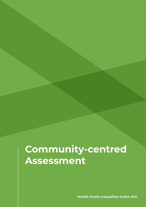**Norfolk Health inequalities toolkit 2021**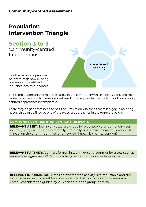# **Population Intervention Triangle**

# **Section 3 to 3**

Community-centred Interventions



Use the template provided below to map how existing powers can be utilised to influence health outcomes

This is the opportunity to map the assets in the community which already exist, and then review how they fit into the evidence-based options provided by the family of community centred approaches in template 2.

There may be gaps that need to be filled. Reflect on whether if there is a gap in meeting needs, this can be filled by one of the types of approaches in the template below.

#### **COMMUNITY CENTRED INTERVENTIONS TEMPLATE**

**RELEVANT ASSET:** Example: Mutual aid group for older people, or befriending service for young carers. Is it run formally, informally and is it sustainable? How does it impact on the priority identified and how well known is the intervention?

**RELEVANT PARTNER:** Are there formal links with existing community assets such as service level agreements? Can this activity help with the overarching aims?

**RELEVANT INFORMATION:** Notes on whether the activity is formal, stable and sustainable, whether it is feasible or appropriate to build on or contribute resource to. Careful consideration guided by VCS partners in the group is critical.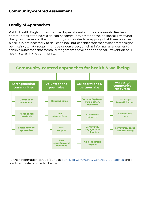## **Family of Approaches**

Public Health England has mapped types of assets in the community. Resilient communities often have a spread of community assets at their disposal, reviewing the types of assets in the community contributes to mapping what there is in the place. It is not necessary to tick each box, but consider together, what assets might be missing, what groups might be underserved, or what informal arrangements achieve outcomes that formal arrangements have not done so far. Prevention of illhealth starts in the community.



Further information can be found at [Family of Community Centred Approaches](https://www.gov.uk/government/publications/health-matters-health-and-wellbeing-community-centred-approaches/health-matters-community-centred-approaches-for-health-and-wellbeing#the-family-of-community-centred-approaches) and a blank template is provided below.